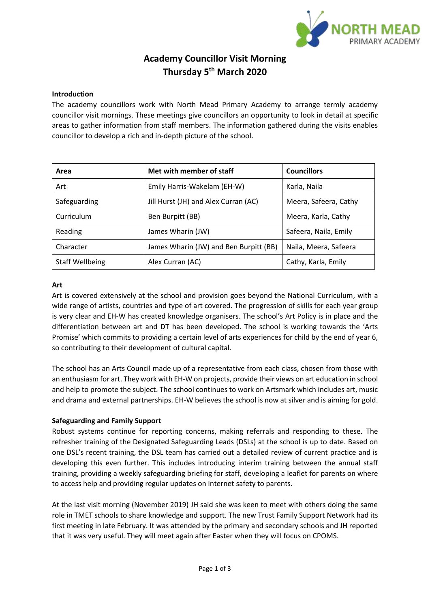

# **Academy Councillor Visit Morning Thursday 5 th March 2020**

### **Introduction**

The academy councillors work with North Mead Primary Academy to arrange termly academy councillor visit mornings. These meetings give councillors an opportunity to look in detail at specific areas to gather information from staff members. The information gathered during the visits enables councillor to develop a rich and in-depth picture of the school.

| Area            | Met with member of staff               | <b>Councillors</b>    |
|-----------------|----------------------------------------|-----------------------|
| Art             | Emily Harris-Wakelam (EH-W)            | Karla, Naila          |
| Safeguarding    | Jill Hurst (JH) and Alex Curran (AC)   | Meera, Safeera, Cathy |
| Curriculum      | Ben Burpitt (BB)                       | Meera, Karla, Cathy   |
| Reading         | James Wharin (JW)                      | Safeera, Naila, Emily |
| Character       | James Wharin (JW) and Ben Burpitt (BB) | Naila, Meera, Safeera |
| Staff Wellbeing | Alex Curran (AC)                       | Cathy, Karla, Emily   |

#### **Art**

Art is covered extensively at the school and provision goes beyond the National Curriculum, with a wide range of artists, countries and type of art covered. The progression of skills for each year group is very clear and EH-W has created knowledge organisers. The school's Art Policy is in place and the differentiation between art and DT has been developed. The school is working towards the 'Arts Promise' which commits to providing a certain level of arts experiences for child by the end of year 6, so contributing to their development of cultural capital.

The school has an Arts Council made up of a representative from each class, chosen from those with an enthusiasm for art. They work with EH-W on projects, provide their views on art education in school and help to promote the subject. The school continues to work on Artsmark which includes art, music and drama and external partnerships. EH-W believes the school is now at silver and is aiming for gold.

#### **Safeguarding and Family Support**

Robust systems continue for reporting concerns, making referrals and responding to these. The refresher training of the Designated Safeguarding Leads (DSLs) at the school is up to date. Based on one DSL's recent training, the DSL team has carried out a detailed review of current practice and is developing this even further. This includes introducing interim training between the annual staff training, providing a weekly safeguarding briefing for staff, developing a leaflet for parents on where to access help and providing regular updates on internet safety to parents.

At the last visit morning (November 2019) JH said she was keen to meet with others doing the same role in TMET schools to share knowledge and support. The new Trust Family Support Network had its first meeting in late February. It was attended by the primary and secondary schools and JH reported that it was very useful. They will meet again after Easter when they will focus on CPOMS.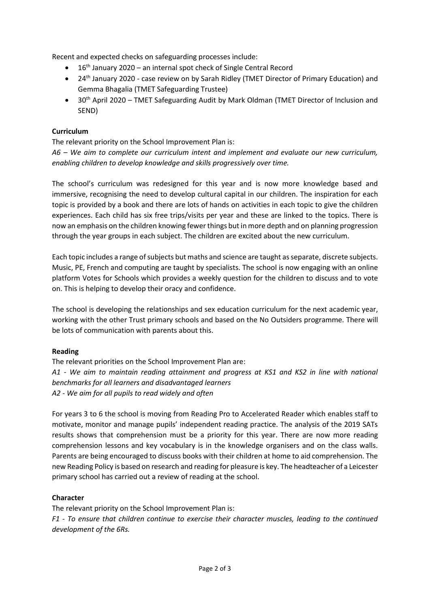Recent and expected checks on safeguarding processes include:

- $\bullet$  16<sup>th</sup> January 2020 an internal spot check of Single Central Record
- 24th January 2020 case review on by Sarah Ridley (TMET Director of Primary Education) and Gemma Bhagalia (TMET Safeguarding Trustee)
- 30<sup>th</sup> April 2020 TMET Safeguarding Audit by Mark Oldman (TMET Director of Inclusion and SEND)

# **Curriculum**

The relevant priority on the School Improvement Plan is:

*A6 – We aim to complete our curriculum intent and implement and evaluate our new curriculum, enabling children to develop knowledge and skills progressively over time.*

The school's curriculum was redesigned for this year and is now more knowledge based and immersive, recognising the need to develop cultural capital in our children. The inspiration for each topic is provided by a book and there are lots of hands on activities in each topic to give the children experiences. Each child has six free trips/visits per year and these are linked to the topics. There is now an emphasis on the children knowing fewer things but in more depth and on planning progression through the year groups in each subject. The children are excited about the new curriculum.

Each topic includes a range of subjects but maths and science are taught asseparate, discrete subjects. Music, PE, French and computing are taught by specialists. The school is now engaging with an online platform Votes for Schools which provides a weekly question for the children to discuss and to vote on. This is helping to develop their oracy and confidence.

The school is developing the relationships and sex education curriculum for the next academic year, working with the other Trust primary schools and based on the No Outsiders programme. There will be lots of communication with parents about this.

## **Reading**

The relevant priorities on the School Improvement Plan are: *A1 - We aim to maintain reading attainment and progress at KS1 and KS2 in line with national benchmarks for all learners and disadvantaged learners A2 - We aim for all pupils to read widely and often*

For years 3 to 6 the school is moving from Reading Pro to Accelerated Reader which enables staff to motivate, monitor and manage pupils' independent reading practice. The analysis of the 2019 SATs results shows that comprehension must be a priority for this year. There are now more reading comprehension lessons and key vocabulary is in the knowledge organisers and on the class walls. Parents are being encouraged to discuss books with their children at home to aid comprehension. The new Reading Policy is based on research and reading for pleasure is key. The headteacher of a Leicester primary school has carried out a review of reading at the school.

## **Character**

The relevant priority on the School Improvement Plan is: *F1 - To ensure that children continue to exercise their character muscles, leading to the continued development of the 6Rs.*